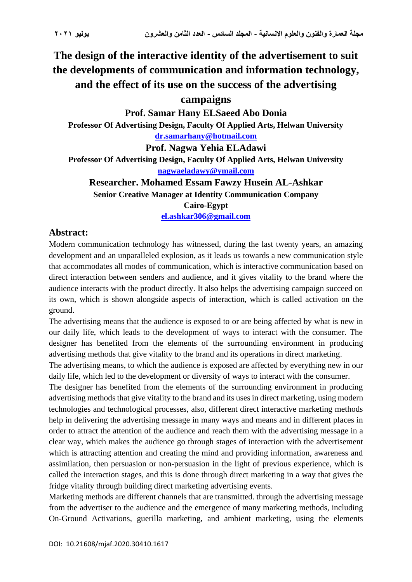# **The design of the interactive identity of the advertisement to suit the developments of communication and information technology, and the effect of its use on the success of the advertising**

## **campaigns**

**Prof. Samar Hany ELSaeed Abo Donia Professor Of Advertising Design, Faculty Of Applied Arts, Helwan University [dr.samarhany@hotmail.com](mailto:dr.samarhany@hotmail.com)**

**Prof. Nagwa Yehia ELAdawi Professor Of Advertising Design, Faculty Of Applied Arts, Helwan University [nagwaeladawy@ymail.com](mailto:nagwaeladawy@ymail.com)**

**Researcher. Mohamed Essam Fawzy Husein AL-Ashkar Senior Creative Manager at Identity Communication Company Cairo-Egypt**

**[el.ashkar306@gmail.com](mailto:el.ashkar306@gmail.com)**

# **Abstract:**

Modern communication technology has witnessed, during the last twenty years, an amazing development and an unparalleled explosion, as it leads us towards a new communication style that accommodates all modes of communication, which is interactive communication based on direct interaction between senders and audience, and it gives vitality to the brand where the audience interacts with the product directly. It also helps the advertising campaign succeed on its own, which is shown alongside aspects of interaction, which is called activation on the ground.

The advertising means that the audience is exposed to or are being affected by what is new in our daily life, which leads to the development of ways to interact with the consumer. The designer has benefited from the elements of the surrounding environment in producing advertising methods that give vitality to the brand and its operations in direct marketing .

The advertising means, to which the audience is exposed are affected by everything new in our daily life, which led to the development or diversity of ways to interact with the consumer.

The designer has benefited from the elements of the surrounding environment in producing advertising methods that give vitality to the brand and its uses in direct marketing, using modern technologies and technological processes, also, different direct interactive marketing methods help in delivering the advertising message in many ways and means and in different places in order to attract the attention of the audience and reach them with the advertising message in a clear way, which makes the audience go through stages of interaction with the advertisement which is attracting attention and creating the mind and providing information, awareness and assimilation, then persuasion or non-persuasion in the light of previous experience, which is called the interaction stages, and this is done through direct marketing in a way that gives the fridge vitality through building direct marketing advertising events.

Marketing methods are different channels that are transmitted. through the advertising message from the advertiser to the audience and the emergence of many marketing methods, including On-Ground Activations, guerilla marketing, and ambient marketing, using the elements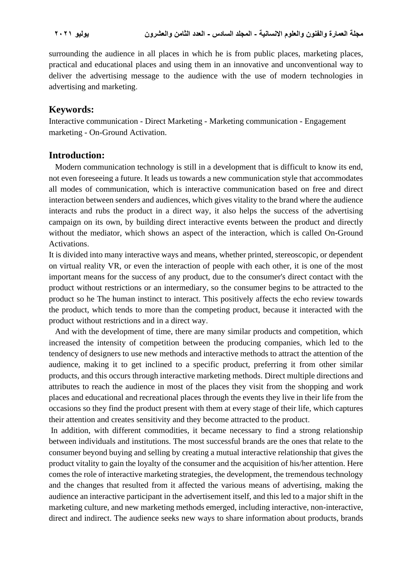surrounding the audience in all places in which he is from public places, marketing places, practical and educational places and using them in an innovative and unconventional way to deliver the advertising message to the audience with the use of modern technologies in advertising and marketing.

### **Keywords:**

Interactive communication - Direct Marketing - Marketing communication - Engagement marketing - On-Ground Activation.

#### Introduction:

 Modern communication technology is still in a development that is difficult to know its end, not even foreseeing a future. It leads us towards a new communication style that accommodates all modes of communication, which is interactive communication based on free and direct interaction between senders and audiences, which gives vitality to the brand where the audience interacts and rubs the product in a direct way, it also helps the success of the advertising campaign on its own, by building direct interactive events between the product and directly without the mediator, which shows an aspect of the interaction, which is called On-Ground Activations.

It is divided into many interactive ways and means, whether printed, stereoscopic, or dependent on virtual reality VR, or even the interaction of people with each other, it is one of the most important means for the success of any product, due to the consumer's direct contact with the product without restrictions or an intermediary, so the consumer begins to be attracted to the product so he The human instinct to interact. This positively affects the echo review towards the product, which tends to more than the competing product, because it interacted with the product without restrictions and in a direct way .

 And with the development of time, there are many similar products and competition, which increased the intensity of competition between the producing companies, which led to the tendency of designers to use new methods and interactive methods to attract the attention of the audience, making it to get inclined to a specific product, preferring it from other similar products, and this occurs through interactive marketing methods. Direct multiple directions and attributes to reach the audience in most of the places they visit from the shopping and work places and educational and recreational places through the events they live in their life from the occasions so they find the product present with them at every stage of their life, which captures their attention and creates sensitivity and they become attracted to the product.

In addition, with different commodities, it became necessary to find a strong relationship between individuals and institutions. The most successful brands are the ones that relate to the consumer beyond buying and selling by creating a mutual interactive relationship that gives the product vitality to gain the loyalty of the consumer and the acquisition of his/her attention. Here comes the role of interactive marketing strategies, the development, the tremendous technology and the changes that resulted from it affected the various means of advertising, making the audience an interactive participant in the advertisement itself, and this led to a major shift in the marketing culture, and new marketing methods emerged, including interactive, non-interactive, direct and indirect. The audience seeks new ways to share information about products, brands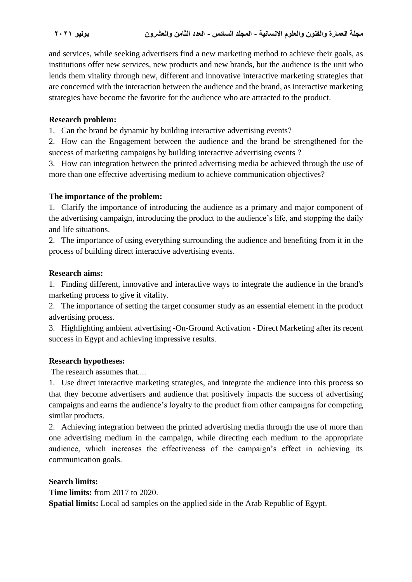and services, while seeking advertisers find a new marketing method to achieve their goals, as institutions offer new services, new products and new brands, but the audience is the unit who lends them vitality through new, different and innovative interactive marketing strategies that are concerned with the interaction between the audience and the brand, as interactive marketing strategies have become the favorite for the audience who are attracted to the product .

#### **Research problem:**

1. Can the brand be dynamic by building interactive advertising events ?

2. How can the Engagement between the audience and the brand be strengthened for the success of marketing campaigns by building interactive advertising events ?

3. How can integration between the printed advertising media be achieved through the use of more than one effective advertising medium to achieve communication objectives?

#### **The importance of the problem :**

1. Clarify the importance of introducing the audience as a primary and major component of the advertising campaign, introducing the product to the audience's life, and stopping the daily and life situations.

2. The importance of using everything surrounding the audience and benefiting from it in the process of building direct interactive advertising events.

#### **Research aims:**

1. Finding different, innovative and interactive ways to integrate the audience in the brand's marketing process to give it vitality.

2. The importance of setting the target consumer study as an essential element in the product advertising process .

3. Highlighting ambient advertising -On-Ground Activation - Direct Marketing after its recent success in Egypt and achieving impressive results.

#### **Research hypotheses:**

The research assumes that....

1. Use direct interactive marketing strategies, and integrate the audience into this process so that they become advertisers and audience that positively impacts the success of advertising campaigns and earns the audience's loyalty to the product from other campaigns for competing similar products.

2. Achieving integration between the printed advertising media through the use of more than one advertising medium in the campaign, while directing each medium to the appropriate audience, which increases the effectiveness of the campaign's effect in achieving its communication goals.

**Search limits:**

**Time limits:** from 2017 to 2020.

**Spatial limits:** Local ad samples on the applied side in the Arab Republic of Egypt.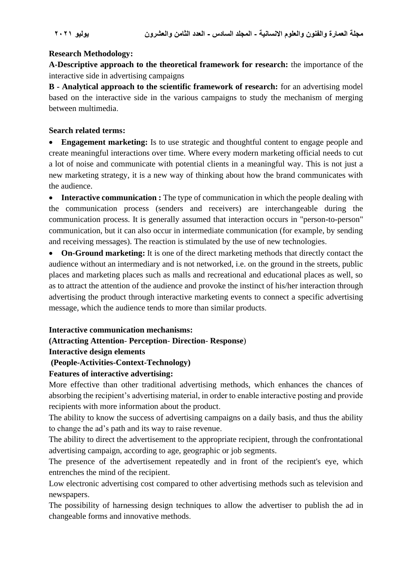## **Research Methodology :**

**A-Descriptive approach to the theoretical framework for research:** the importance of the interactive side in advertising campaigns

**B - Analytical approach to the scientific framework of research:** for an advertising model based on the interactive side in the various campaigns to study the mechanism of merging between multimedia .

## **Search related terms :**

• **Engagement marketing:** Is to use strategic and thoughtful content to engage people and create meaningful interactions over time. Where every modern marketing official needs to cut a lot of noise and communicate with potential clients in a meaningful way. This is not just a new marketing strategy, it is a new way of thinking about how the brand communicates with the audience.

• **Interactive communication :** The type of communication in which the people dealing with the communication process (senders and receivers) are interchangeable during the communication process. It is generally assumed that interaction occurs in "person-to-person" communication, but it can also occur in intermediate communication (for example, by sending and receiving messages). The reaction is stimulated by the use of new technologies.

• **On-Ground marketing:** It is one of the direct marketing methods that directly contact the audience without an intermediary and is not networked, i.e. on the ground in the streets, public places and marketing places such as malls and recreational and educational places as well, so as to attract the attention of the audience and provoke the instinct of his/her interaction through advertising the product through interactive marketing events to connect a specific advertising message, which the audience tends to more than similar products.

#### **Interactive communication mechanisms:**

## **(Attracting Attention**- **Perception**- **Direction**- **Response**)

## **Interactive design elements**

## **(People-Activities-Context-Technology)**

## **Features of interactive advertising:**

More effective than other traditional advertising methods, which enhances the chances of absorbing the recipient's advertising material, in order to enable interactive posting and provide recipients with more information about the product.

The ability to know the success of advertising campaigns on a daily basis, and thus the ability to change the ad's path and its way to raise revenue.

The ability to direct the advertisement to the appropriate recipient, through the confrontational advertising campaign, according to age, geographic or job segments.

The presence of the advertisement repeatedly and in front of the recipient's eye, which entrenches the mind of the recipient.

Low electronic advertising cost compared to other advertising methods such as television and newspapers.

The possibility of harnessing design techniques to allow the advertiser to publish the ad in changeable forms and innovative methods.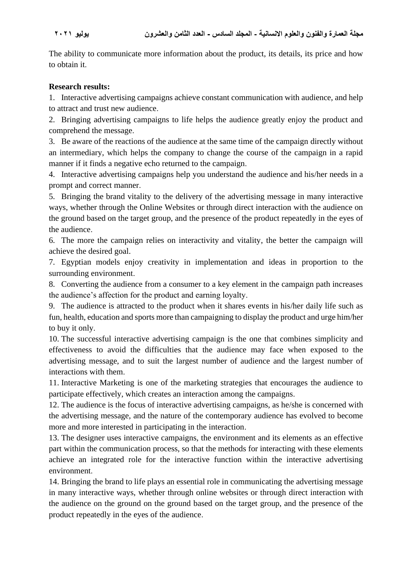The ability to communicate more information about the product, its details, its price and how to obtain it.

### **Research results:**

1. Interactive advertising campaigns achieve constant communication with audience, and help to attract and trust new audience.

2. Bringing advertising campaigns to life helps the audience greatly enjoy the product and comprehend the message.

3. Be aware of the reactions of the audience at the same time of the campaign directly without an intermediary, which helps the company to change the course of the campaign in a rapid manner if it finds a negative echo returned to the campaign.

4. Interactive advertising campaigns help you understand the audience and his/her needs in a prompt and correct manner.

5. Bringing the brand vitality to the delivery of the advertising message in many interactive ways, whether through the Online Websites or through direct interaction with the audience on the ground based on the target group, and the presence of the product repeatedly in the eyes of the audience.

6. The more the campaign relies on interactivity and vitality, the better the campaign will achieve the desired goal.

7. Egyptian models enjoy creativity in implementation and ideas in proportion to the surrounding environment.

8. Converting the audience from a consumer to a key element in the campaign path increases the audience's affection for the product and earning loyalty.

9. The audience is attracted to the product when it shares events in his/her daily life such as fun, health, education and sports more than campaigning to display the product and urge him/her to buy it only.

10. The successful interactive advertising campaign is the one that combines simplicity and effectiveness to avoid the difficulties that the audience may face when exposed to the advertising message, and to suit the largest number of audience and the largest number of interactions with them.

11. Interactive Marketing is one of the marketing strategies that encourages the audience to participate effectively, which creates an interaction among the campaigns .

12. The audience is the focus of interactive advertising campaigns, as he/she is concerned with the advertising message, and the nature of the contemporary audience has evolved to become more and more interested in participating in the interaction.

13. The designer uses interactive campaigns, the environment and its elements as an effective part within the communication process, so that the methods for interacting with these elements achieve an integrated role for the interactive function within the interactive advertising environment.

14. Bringing the brand to life plays an essential role in communicating the advertising message in many interactive ways, whether through online websites or through direct interaction with the audience on the ground on the ground based on the target group, and the presence of the product repeatedly in the eyes of the audience .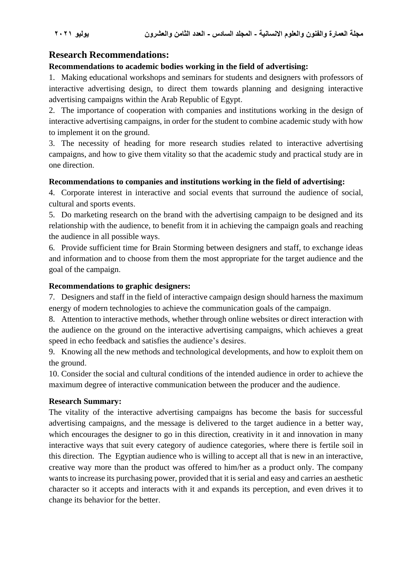# **Research Recommendations :**

## **Recommendations to academic bodies working in the field of advertising:**

1. Making educational workshops and seminars for students and designers with professors of interactive advertising design, to direct them towards planning and designing interactive advertising campaigns within the Arab Republic of Egypt.

2. The importance of cooperation with companies and institutions working in the design of interactive advertising campaigns, in order for the student to combine academic study with how to implement it on the ground.

3. The necessity of heading for more research studies related to interactive advertising campaigns, and how to give them vitality so that the academic study and practical study are in one direction .

## **Recommendations to companies and institutions working in the field of advertising:**

4. Corporate interest in interactive and social events that surround the audience of social, cultural and sports events.

5. Do marketing research on the brand with the advertising campaign to be designed and its relationship with the audience, to benefit from it in achieving the campaign goals and reaching the audience in all possible ways .

6. Provide sufficient time for Brain Storming between designers and staff, to exchange ideas and information and to choose from them the most appropriate for the target audience and the goal of the campaign.

## **Recommendations to graphic designers:**

7. Designers and staff in the field of interactive campaign design should harness the maximum energy of modern technologies to achieve the communication goals of the campaign.

8. Attention to interactive methods, whether through online websites or direct interaction with the audience on the ground on the interactive advertising campaigns, which achieves a great speed in echo feedback and satisfies the audience's desires .

9. Knowing all the new methods and technological developments, and how to exploit them on the ground.

10. Consider the social and cultural conditions of the intended audience in order to achieve the maximum degree of interactive communication between the producer and the audience .

#### **Research Summary:**

The vitality of the interactive advertising campaigns has become the basis for successful advertising campaigns, and the message is delivered to the target audience in a better way, which encourages the designer to go in this direction, creativity in it and innovation in many interactive ways that suit every category of audience categories, where there is fertile soil in this direction. The Egyptian audience who is willing to accept all that is new in an interactive, creative way more than the product was offered to him/her as a product only. The company wants to increase its purchasing power, provided that it is serial and easy and carries an aesthetic character so it accepts and interacts with it and expands its perception, and even drives it to change its behavior for the better .